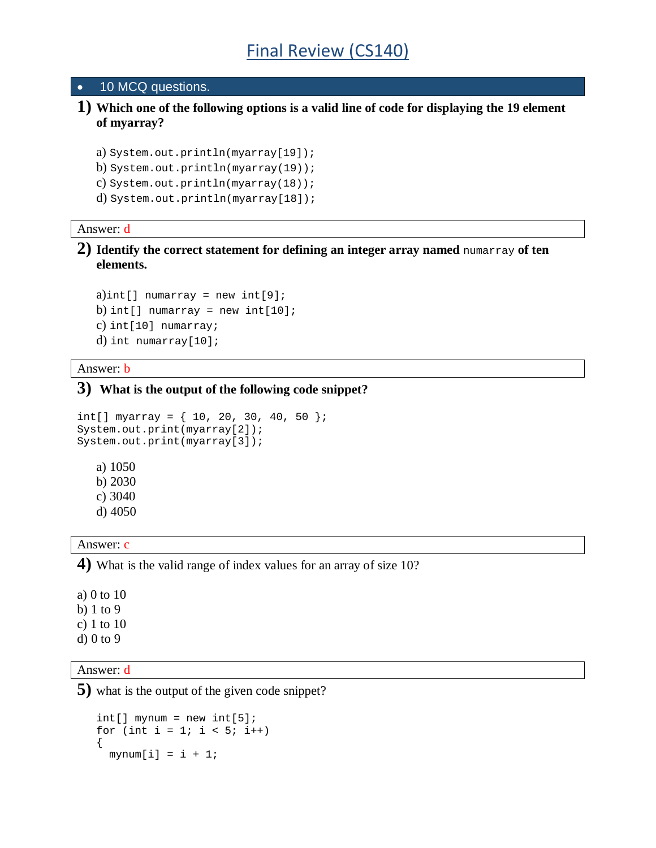#### • 10 MCQ questions.

**1) Which one of the following options is a valid line of code for displaying the 19 element of myarray?**

```
a) System.out.println(myarray[19]);
b) System.out.println(myarray(19));
c) System.out.println(myarray(18));
```
d) System.out.println(myarray[18]);

#### Answer: d

**2) Identify the correct statement for defining an integer array named** numarray **of ten elements.**

```
a)int[] numarray = new int[9];
b) int[] numarray = new int[10];
c) int[10] numarray;
d) int numarray[10];
```
#### Answer: b

### **3) What is the output of the following code snippet?**

```
int[] myarray = \{ 10, 20, 30, 40, 50 \};
System.out.print(myarray[2]);
System.out.print(myarray[3]);
   a) 1050
   b) 2030
   c) 3040
   d) 4050
```
#### Answer: c

**4)** What is the valid range of index values for an array of size 10?

a) 0 to 10 b) 1 to 9

- c) 1 to 10
- d) 0 to 9

### Answer: d

**5)** what is the output of the given code snippet?

```
int[] mynum = new int[5];
for (int i = 1; i < 5; i++)\{mynum[i] = i + 1;
```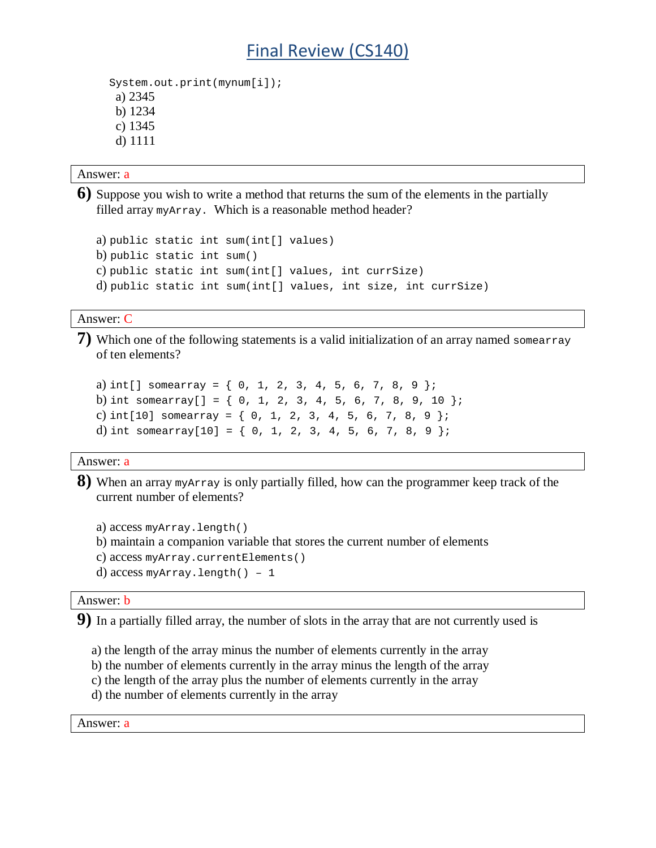## Final Review (CS140)

```
 System.out.print(mynum[i]);
 a) 2345
 b) 1234
 c) 1345
 d) 1111
```
Answer: a

**6)** Suppose you wish to write a method that returns the sum of the elements in the partially filled array myArray. Which is a reasonable method header?

```
a) public static int sum(int[] values)
b) public static int sum()
c) public static int sum(int[] values, int currSize)
d) public static int sum(int[] values, int size, int currSize)
```
Answer: C

**7)** Which one of the following statements is a valid initialization of an array named somearray of ten elements?

```
a) int[] somearray = \{ 0, 1, 2, 3, 4, 5, 6, 7, 8, 9 \};
b) int somearray [ ] = { 0, 1, 2, 3, 4, 5, 6, 7, 8, 9, 10 }c) int[10] somearray = { 0, 1, 2, 3, 4, 5, 6, 7, 8, 9 };
d) int somearray[10] = { 0, 1, 2, 3, 4, 5, 6, 7, 8, 9 };
```
Answer: a

**8)** When an array myArray is only partially filled, how can the programmer keep track of the current number of elements?

```
a) access myArray.length()
b) maintain a companion variable that stores the current number of elements
c) access myArray.currentElements()
d) access myArray.length() – 1
```
Answer: b

**9)** In a partially filled array, the number of slots in the array that are not currently used is

- a) the length of the array minus the number of elements currently in the array
- b) the number of elements currently in the array minus the length of the array
- c) the length of the array plus the number of elements currently in the array
- d) the number of elements currently in the array

Answer: a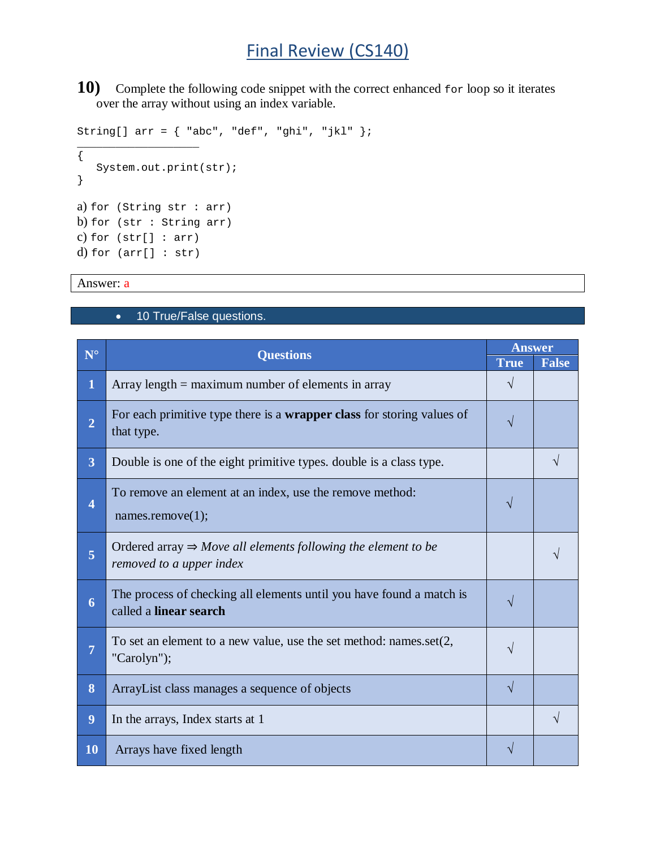## Final Review (CS140)

**10)** Complete the following code snippet with the correct enhanced for loop so it iterates over the array without using an index variable.

String[]  $arr = {$  "abc", "def", "ghi", "jkl" }; \_\_\_\_\_\_\_\_\_\_\_\_\_\_\_\_\_\_\_ { System.out.print(str); } a) for (String str : arr) b) for (str : String arr) c) for (str[] : arr) d) for  $(\arr[] : str)$ 

Answer: a

## • 10 True/False questions.

| ${\bf N}^{\circ}$       | <b>Questions</b>                                                                                      | <b>Answer</b> |              |
|-------------------------|-------------------------------------------------------------------------------------------------------|---------------|--------------|
|                         |                                                                                                       | <b>True</b>   | <b>False</b> |
| $\bf{1}$                | Array length $=$ maximum number of elements in array                                                  | V             |              |
| $\overline{2}$          | For each primitive type there is a <b>wrapper class</b> for storing values of<br>that type.           | V             |              |
| $\overline{\mathbf{3}}$ | Double is one of the eight primitive types. double is a class type.                                   |               |              |
| $\overline{\mathbf{4}}$ | To remove an element at an index, use the remove method:<br>names.remove $(1)$ ;                      | N             |              |
| $\overline{5}$          | Ordered array $\Rightarrow$ Move all elements following the element to be<br>removed to a upper index |               |              |
| 6                       | The process of checking all elements until you have found a match is<br>called a linear search        | V             |              |
| $\overline{7}$          | To set an element to a new value, use the set method: names.set $(2, 1)$<br>"Carolyn");               | V             |              |
| 8                       | ArrayList class manages a sequence of objects                                                         | V             |              |
| 9                       | In the arrays, Index starts at 1                                                                      |               |              |
| 10                      | Arrays have fixed length                                                                              |               |              |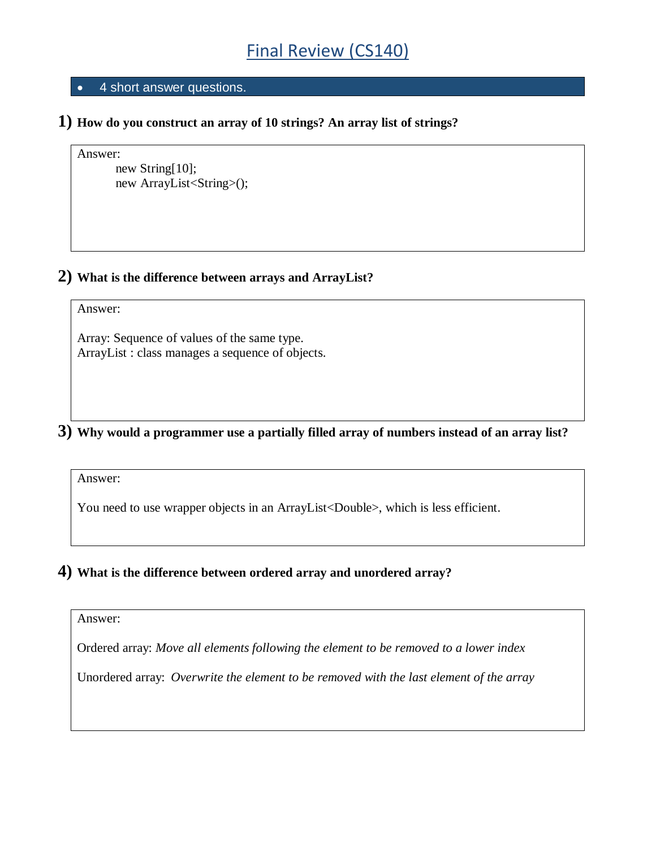## • 4 short answer questions.

**1) How do you construct an array of 10 strings? An array list of strings?** 

```
Answer:
```

```
new String[10]; 
new ArrayList<String>();
```
## **2) What is the difference between arrays and ArrayList?**

### Answer:

Array: Sequence of values of the same type. ArrayList : class manages a sequence of objects.

**3) Why would a programmer use a partially filled array of numbers instead of an array list?** 

Answer:

You need to use wrapper objects in an ArrayList<Double>, which is less efficient.

## **4) What is the difference between ordered array and unordered array?**

Answer:

Ordered array: *Move all elements following the element to be removed to a lower index*

Unordered array: *Overwrite the element to be removed with the last element of the array*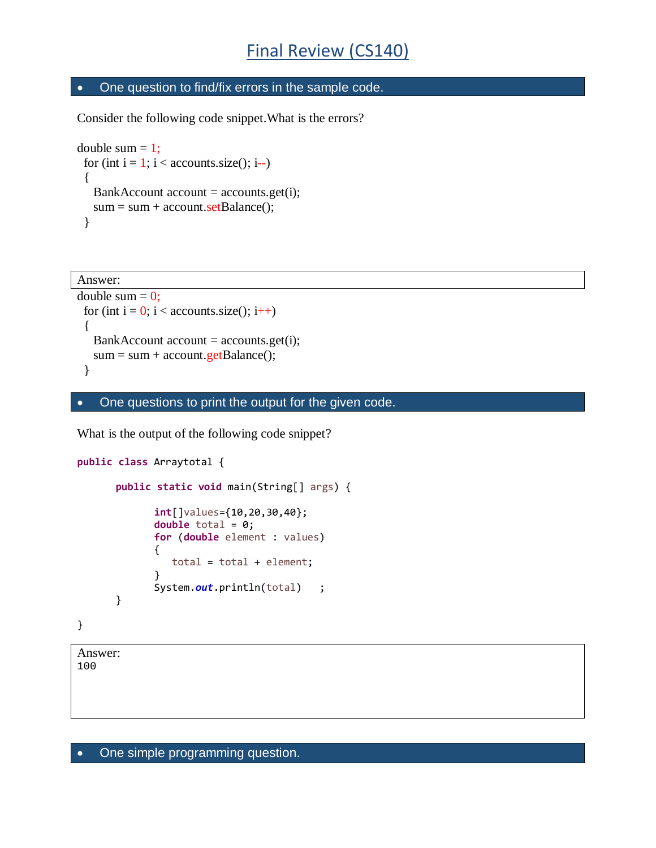## • One question to find/fix errors in the sample code.

Consider the following code snippet.What is the errors?

```
double sum = 1;
 for (int i = 1; i < accounts.size(); i--)
  { 
   BankAccount account = accounts.get(i);sum = sum + account.setBalance(); }
```

```
Answer: 
double sum = 0:
 for (int i = 0; i < accounts.size(); i++)
  { 
  BankAccount account = accounts.get(i);sum = sum + account.getBalance(); }
```
• One questions to print the output for the given code.

What is the output of the following code snippet?

```
public class Arraytotal {
      public static void main(String[] args) {
             int[]values={10,20,30,40}; 
             double total = 0;
             for (double element : values)
             {
                 total = total + element;
             }
             System.out.println(total) ;
      }
}
```
Answer:

100